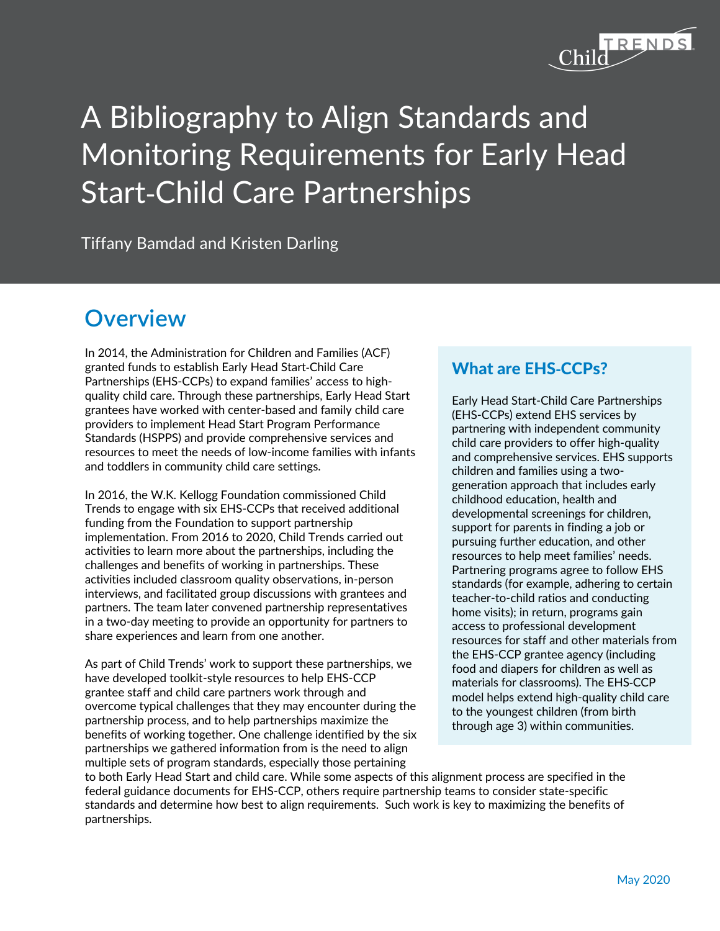

# A Bibliography to Align Standards and Monitoring Requirements for Early Head Start-Child Care Partnerships

Tiffany Bamdad and Kristen Darling

## **Overview**

In 2014, the Administration for Children and Families (ACF) granted funds to establish Early Head Start-Child Care Partnerships (EHS-CCPs) to expand families' access to highquality child care. Through these partnerships, Early Head Start grantees have worked with center-based and family child care providers to implement Head Start Program Performance Standards (HSPPS) and provide comprehensive services and resources to meet the needs of low-income families with infants and toddlers in community child care settings.

In 2016, the W.K. Kellogg Foundation commissioned Child Trends to engage with six EHS-CCPs that received additional funding from the Foundation to support partnership implementation. From 2016 to 2020, Child Trends carried out activities to learn more about the partnerships, including the challenges and benefits of working in partnerships. These activities included classroom quality observations, in-person interviews, and facilitated group discussions with grantees and partners. The team later convened partnership representatives in a two-day meeting to provide an opportunity for partners to share experiences and learn from one another.

As part of Child Trends' work to support these partnerships, we have developed toolkit-style resources to help EHS-CCP grantee staff and child care partners work through and overcome typical challenges that they may encounter during the partnership process, and to help partnerships maximize the benefits of working together. One challenge identified by the six partnerships we gathered information from is the need to align multiple sets of program standards, especially those pertaining

### What are EHS**-**CCPs?

Early Head Start-Child Care Partnerships (EHS-CCPs) extend EHS services by partnering with independent community child care providers to offer high-quality and comprehensive services. EHS supports children and families using a twogeneration approach that includes early childhood education, health and developmental screenings for children, support for parents in finding a job or pursuing further education, and other resources to help meet families' needs. Partnering programs agree to follow EHS standards (for example, adhering to certain teacher-to-child ratios and conducting home visits); in return, programs gain access to professional development resources for staff and other materials from the EHS-CCP grantee agency (including food and diapers for children as well as materials for classrooms). The EHS-CCP model helps extend high-quality child care to the youngest children (from birth through age 3) within communities.

to both Early Head Start and child care. While some aspects of this alignment process are specified in the federal guidance documents for EHS-CCP, others require partnership teams to consider state-specific standards and determine how best to align requirements. Such work is key to maximizing the benefits of partnerships.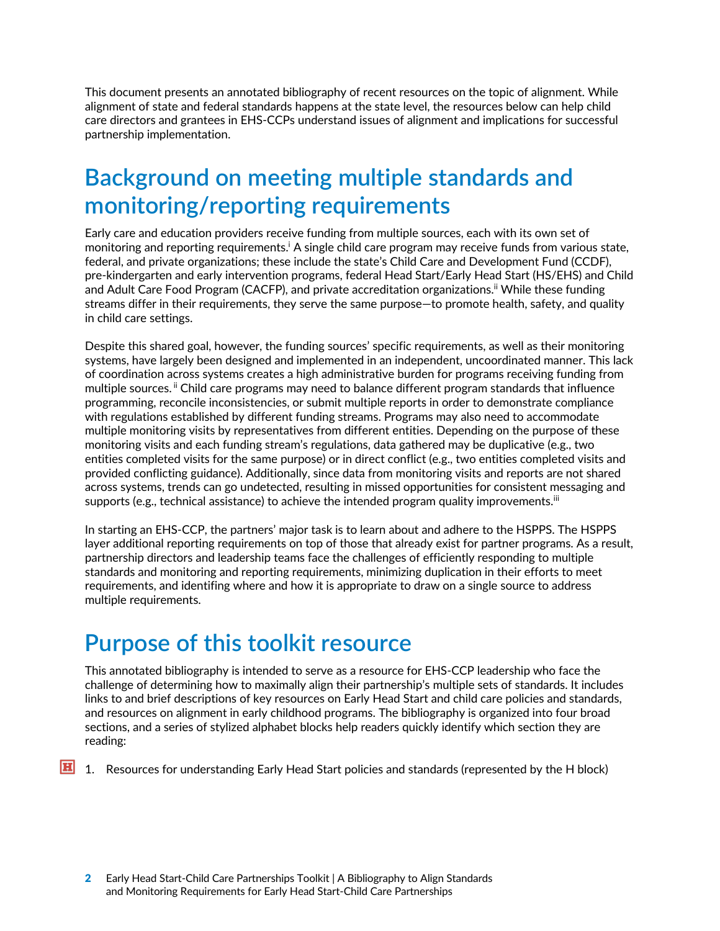This document presents an annotated bibliography of recent resources on the topic of alignment. While alignment of state and federal standards happens at the state level, the resources below can help child care directors and grantees in EHS-CCPs understand issues of alignment and implications for successful partnership implementation.

## **Background on meeting multiple standards and monitoring/reporting requirements**

Early care and education providers receive funding from multiple sources, each with its own set of monitoring and reporting requirements.<sup>i</sup> A single child care program may receive funds from various state, federal, and private organizations; these include the state's Child Care and Development Fund (CCDF), pre-kindergarten and early intervention programs, federal Head Start/Early Head Start (HS/EHS) and Child and Adult Care Food Program (CACFP), and private accreditation organizations.<sup>ii</sup> While these funding streams differ in their requirements, they serve the same purpose—to promote health, safety, and quality in child care settings.

Despite this shared goal, however, the funding sources' specific requirements, as well as their monitoring systems, have largely been designed and implemented in an independent, uncoordinated manner. This lack of coordination across systems creates a high administrative burden for programs receiving funding from multiple sources. <sup>ii</sup> Child care programs may need to balance different program standards that influence programming, reconcile inconsistencies, or submit multiple reports in order to demonstrate compliance with regulations established by different funding streams. Programs may also need to accommodate multiple monitoring visits by representatives from different entities. Depending on the purpose of these monitoring visits and each funding stream's regulations, data gathered may be duplicative (e.g., two entities completed visits for the same purpose) or in direct conflict (e.g., two entities completed visits and provided conflicting guidance). Additionally, since data from monitoring visits and reports are not shared across systems, trends can go undetected, resulting in missed opportunities for consistent messaging and supports (e.g., technical assistance) to achieve the intended program quality improvements.<sup>iii</sup>

In starting an EHS-CCP, the partners' major task is to learn about and adhere to the HSPPS. The HSPPS layer additional reporting requirements on top of those that already exist for partner programs. As a result, partnership directors and leadership teams face the challenges of efficiently responding to multiple standards and monitoring and reporting requirements, minimizing duplication in their efforts to meet requirements, and identifing where and how it is appropriate to draw on a single source to address multiple requirements.

# **Purpose of this toolkit resource**

This annotated bibliography is intended to serve as a resource for EHS-CCP leadership who face the challenge of determining how to maximally align their partnership's multiple sets of standards. It includes links to and brief descriptions of key resources on Early Head Start and child care policies and standards, and resources on alignment in early childhood programs. The bibliography is organized into four broad sections, and a series of stylized alphabet blocks help readers quickly identify which section they are reading:

**H** 1. Resources for understanding Early Head Start policies and standards (represented by the H block)

Early Head Start-Child Care Partnerships Toolkit | A Bibliography to Align Standards and Monitoring Requirements for Early Head Start-Child Care Partnerships 2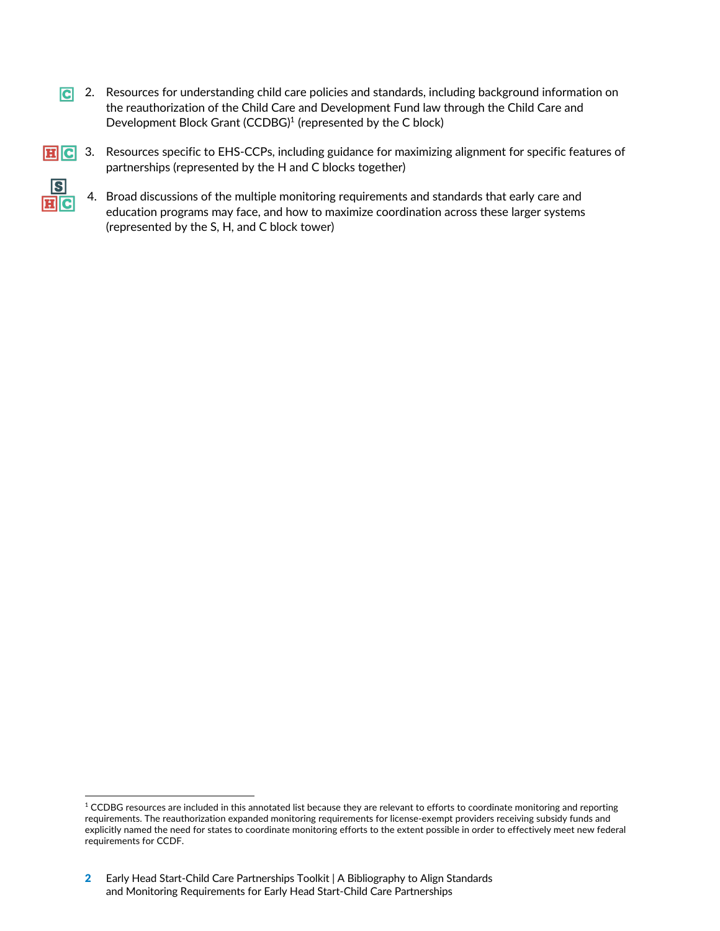**C** 2. Resources for understanding child care policies and standards, including background information on the reauthorization of the Child Care and Development Fund law through the Child Care and Development Block Grant (CCDBG)<sup>1</sup> (represented by the C block)



**HC** 3. Resources specific to EHS-CCPs, including guidance for maximizing alignment for specific features of partnerships (represented by the H and C blocks together)



4. Broad discussions of the multiple monitoring requirements and standards that early care and education programs may face, and how to maximize coordination across these larger systems (represented by the S, H, and C block tower)

 $1$  CCDBG resources are included in this annotated list because they are relevant to efforts to coordinate monitoring and reporting requirements. The reauthorization expanded monitoring requirements for license-exempt providers receiving subsidy funds and explicitly named the need for states to coordinate monitoring efforts to the extent possible in order to effectively meet new federal requirements for CCDF.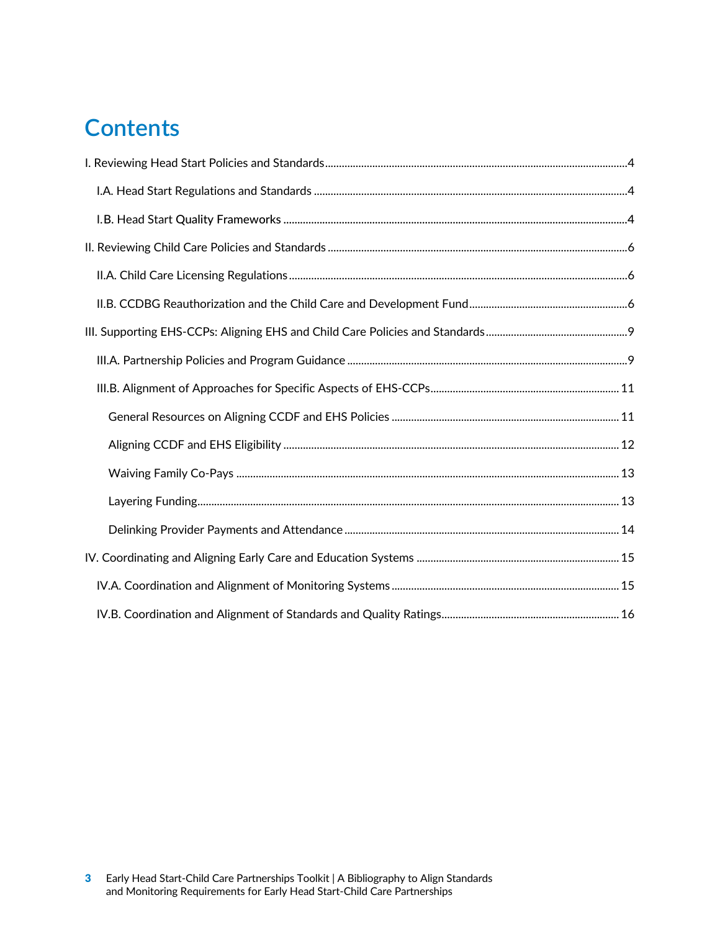# **Contents**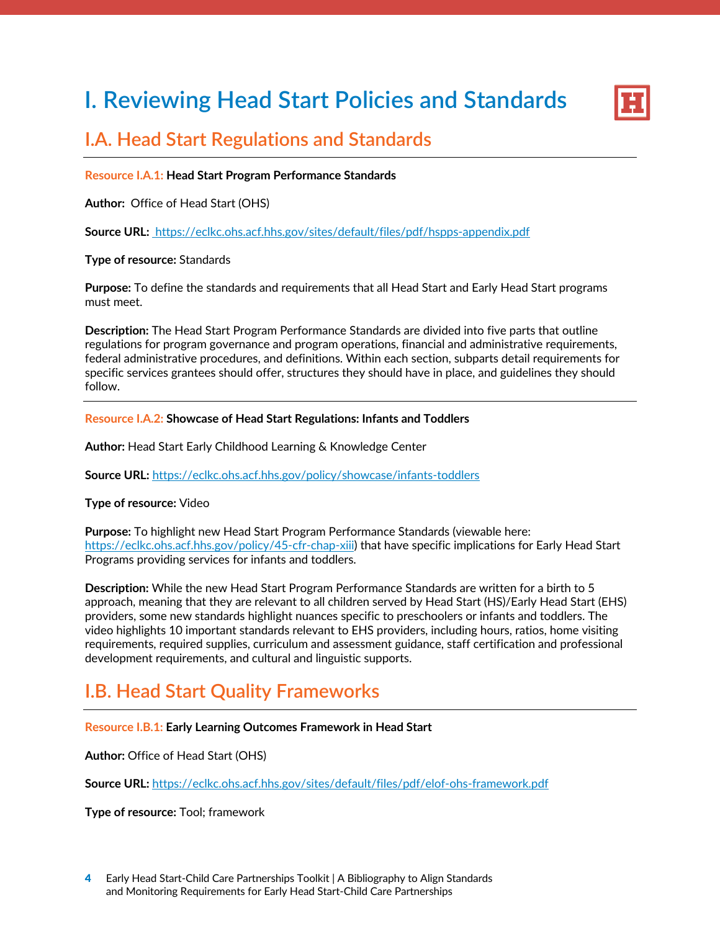# <span id="page-4-0"></span>**I. Reviewing Head Start Policies and Standards**



### **I.A. Head Start Regulations and Standards**

#### **Resource I.A.1: Head Start Program Performance Standards**

**Author:** Office of Head Start (OHS)

**Source URL:** https://eclkc.ohs.acf.hhs.gov/sites/default/files/pdf/hspps-appendix.pdf

#### **Type of resource:** Standards

**Purpose:** To define the standards and requirements that all Head Start and Early Head Start programs must meet.

**Description:** The Head Start Program Performance Standards are divided into five parts that outline regulations for program governance and program operations, financial and administrative requirements, federal administrative procedures, and definitions. Within each section, subparts detail requirements for specific services grantees should offer, structures they should have in place, and guidelines they should follow.

#### **Resource I.A.2: Showcase of Head Start Regulations: Infants and Toddlers**

**Author:** Head Start Early Childhood Learning & Knowledge Center

**Source URL:** https://eclkc.ohs.acf.hhs.gov/policy/showcase/infants-toddlers

#### **Type of resource:** Video

**Purpose:** To highlight new Head Start Program Performance Standards (viewable here: https://eclkc.ohs.acf.hhs.gov/policy/45-cfr-chap-xiii) that have specific implications for Early Head Start Programs providing services for infants and toddlers.

**Description:** While the new Head Start Program Performance Standards are written for a birth to 5 approach, meaning that they are relevant to all children served by Head Start (HS)/Early Head Start (EHS) providers, some new standards highlight nuances specific to preschoolers or infants and toddlers. The video highlights 10 important standards relevant to EHS providers, including hours, ratios, home visiting requirements, required supplies, curriculum and assessment guidance, staff certification and professional development requirements, and cultural and linguistic supports.

## **I.B. Head Start Quality Frameworks**

#### **Resource I.B.1: Early Learning Outcomes Framework in Head Start**

**Author:** Office of Head Start (OHS)

**Source URL:** https://eclkc.ohs.acf.hhs.gov/sites/default/files/pdf/elof-ohs-framework.pdf

**Type of resource:** Tool; framework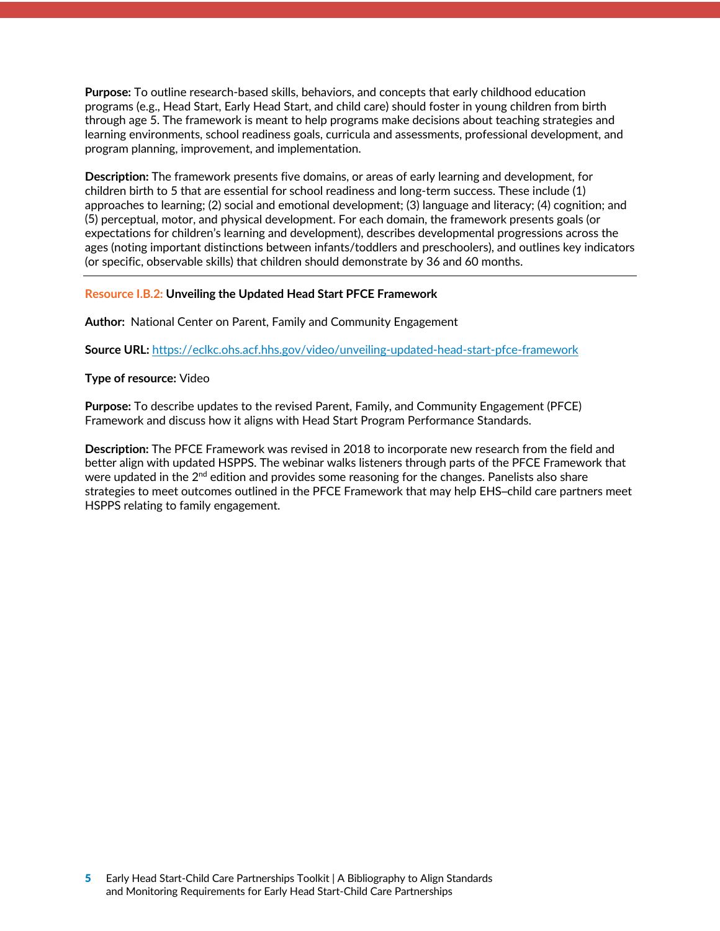<span id="page-5-0"></span>**Purpose:** To outline research-based skills, behaviors, and concepts that early childhood education programs (e.g., Head Start, Early Head Start, and child care) should foster in young children from birth through age 5. The framework is meant to help programs make decisions about teaching strategies and learning environments, school readiness goals, curricula and assessments, professional development, and program planning, improvement, and implementation.

**Description:** The framework presents five domains, or areas of early learning and development, for children birth to 5 that are essential for school readiness and long-term success. These include (1) approaches to learning; (2) social and emotional development; (3) language and literacy; (4) cognition; and (5) perceptual, motor, and physical development. For each domain, the framework presents goals (or expectations for children's learning and development), describes developmental progressions across the ages (noting important distinctions between infants/toddlers and preschoolers), and outlines key indicators (or specific, observable skills) that children should demonstrate by 36 and 60 months.

#### **Resource I.B.2: Unveiling the Updated Head Start PFCE Framework**

**Author:** National Center on Parent, Family and Community Engagement

**Source URL:** https://eclkc.ohs.acf.hhs.gov/video/unveiling-updated-head-start-pfce-framework

#### **Type of resource:** Video

**Purpose:** To describe updates to the revised Parent, Family, and Community Engagement (PFCE) Framework and discuss how it aligns with Head Start Program Performance Standards.

**Description:** The PFCE Framework was revised in 2018 to incorporate new research from the field and better align with updated HSPPS. The webinar walks listeners through parts of the PFCE Framework that were updated in the  $2<sup>nd</sup>$  edition and provides some reasoning for the changes. Panelists also share strategies to meet outcomes outlined in the PFCE Framework that may help EHS–child care partners meet HSPPS relating to family engagement.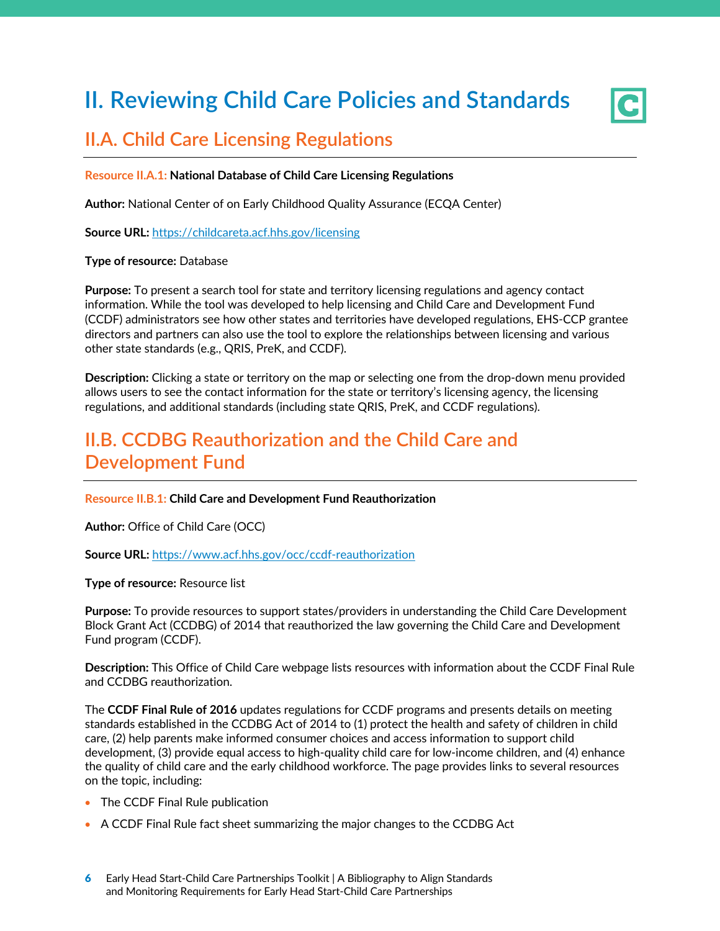# <span id="page-6-0"></span>**II. Reviewing Child Care Policies and Standards**



## **II.A. Child Care Licensing Regulations**

#### **Resource II.A.1: National Database of Child Care Licensing Regulations**

**Author:** National Center of on Early Childhood Quality Assurance (ECQA Center)

**Source URL:** https://childcareta.acf.hhs.gov/licensing

#### **Type of resource:** Database

**Purpose:** To present a search tool for state and territory licensing regulations and agency contact information. While the tool was developed to help licensing and Child Care and Development Fund (CCDF) administrators see how other states and territories have developed regulations, EHS-CCP grantee directors and partners can also use the tool to explore the relationships between licensing and various other state standards (e.g., QRIS, PreK, and CCDF).

**Description:** Clicking a state or territory on the map or selecting one from the drop-down menu provided allows users to see the contact information for the state or territory's licensing agency, the licensing regulations, and additional standards (including state QRIS, PreK, and CCDF regulations).

## **II.B. CCDBG Reauthorization and the Child Care and Development Fund**

#### **Resource II.B.1: Child Care and Development Fund Reauthorization**

**Author:** Office of Child Care (OCC)

**Source URL:** https://www.acf.hhs.gov/occ/ccdf-reauthorization

**Type of resource:** Resource list

**Purpose:** To provide resources to support states/providers in understanding the Child Care Development Block Grant Act (CCDBG) of 2014 that reauthorized the law governing the Child Care and Development Fund program (CCDF).

**Description:** This Office of Child Care webpage lists resources with information about the CCDF Final Rule and CCDBG reauthorization.

The **CCDF Final Rule of 2016** updates regulations for CCDF programs and presents details on meeting standards established in the CCDBG Act of 2014 to (1) protect the health and safety of children in child care, (2) help parents make informed consumer choices and access information to support child development, (3) provide equal access to high-quality child care for low-income children, and (4) enhance the quality of child care and the early childhood workforce. The page provides links to several resources on the topic, including:

- The CCDF Final Rule publication
- A CCDF Final Rule fact sheet summarizing the major changes to the CCDBG Act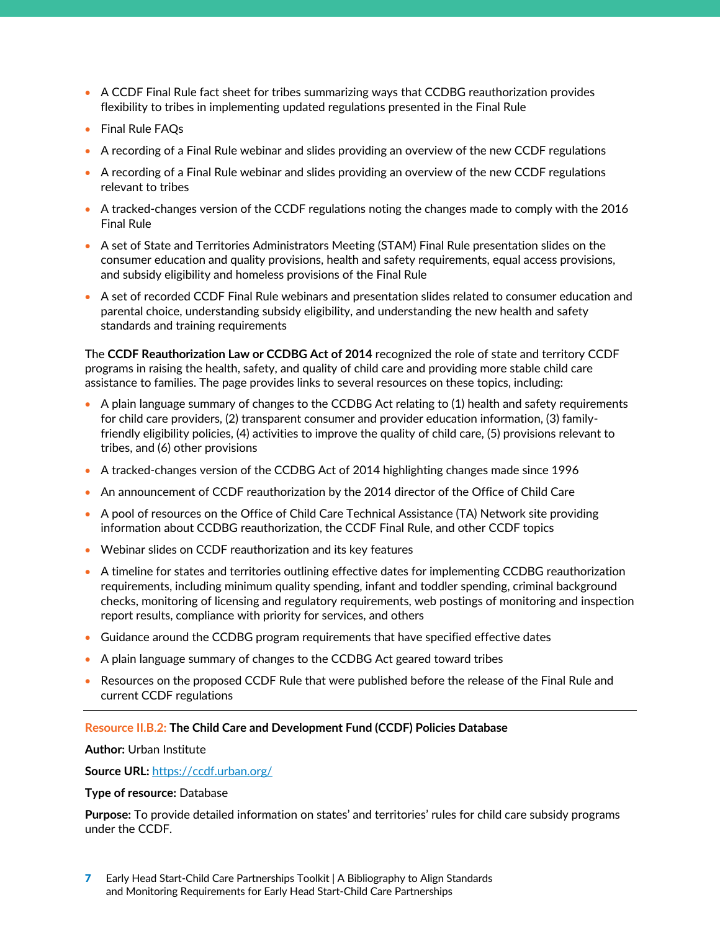- A CCDF Final Rule fact sheet for tribes summarizing ways that CCDBG reauthorization provides flexibility to tribes in implementing updated regulations presented in the Final Rule
- Final Rule FAQs
- A recording of a Final Rule webinar and slides providing an overview of the new CCDF regulations
- A recording of a Final Rule webinar and slides providing an overview of the new CCDF regulations relevant to tribes
- A tracked-changes version of the CCDF regulations noting the changes made to comply with the 2016 Final Rule
- A set of State and Territories Administrators Meeting (STAM) Final Rule presentation slides on the consumer education and quality provisions, health and safety requirements, equal access provisions, and subsidy eligibility and homeless provisions of the Final Rule
- A set of recorded CCDF Final Rule webinars and presentation slides related to consumer education and parental choice, understanding subsidy eligibility, and understanding the new health and safety standards and training requirements

The **CCDF Reauthorization Law or CCDBG Act of 2014** recognized the role of state and territory CCDF programs in raising the health, safety, and quality of child care and providing more stable child care assistance to families. The page provides links to several resources on these topics, including:

- A plain language summary of changes to the CCDBG Act relating to (1) health and safety requirements for child care providers, (2) transparent consumer and provider education information, (3) familyfriendly eligibility policies, (4) activities to improve the quality of child care, (5) provisions relevant to tribes, and (6) other provisions
- A tracked-changes version of the CCDBG Act of 2014 highlighting changes made since 1996
- An announcement of CCDF reauthorization by the 2014 director of the Office of Child Care
- A pool of resources on the Office of Child Care Technical Assistance (TA) Network site providing information about CCDBG reauthorization, the CCDF Final Rule, and other CCDF topics
- Webinar slides on CCDF reauthorization and its key features
- A timeline for states and territories outlining effective dates for implementing CCDBG reauthorization requirements, including minimum quality spending, infant and toddler spending, criminal background checks, monitoring of licensing and regulatory requirements, web postings of monitoring and inspection report results, compliance with priority for services, and others
- Guidance around the CCDBG program requirements that have specified effective dates
- A plain language summary of changes to the CCDBG Act geared toward tribes
- Resources on the proposed CCDF Rule that were published before the release of the Final Rule and current CCDF regulations

#### **Resource II.B.2: The Child Care and Development Fund (CCDF) Policies Database**

#### **Author:** Urban Institute

**Source URL:** https://ccdf.urban.org/

#### **Type of resource:** Database

**Purpose:** To provide detailed information on states' and territories' rules for child care subsidy programs under the CCDF.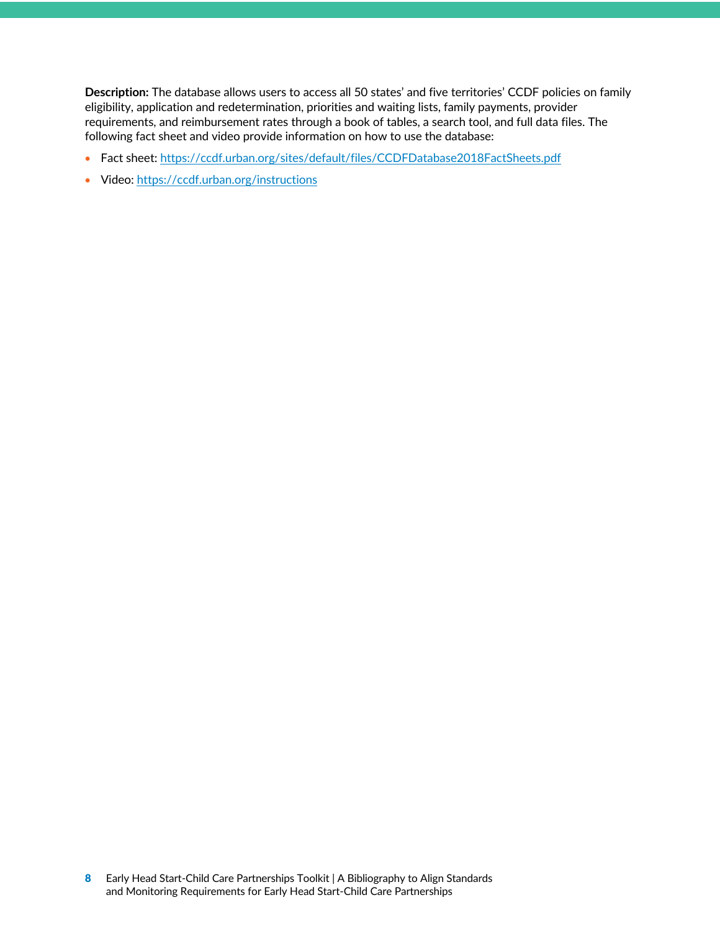**Description:** The database allows users to access all 50 states' and five territories' CCDF policies on family eligibility, application and redetermination, priorities and waiting lists, family payments, provider requirements, and reimbursement rates through a book of tables, a search tool, and full data files. The following fact sheet and video provide information on how to use the database:

- Fact sheet: https://ccdf.urban.org/sites/default/files/CCDFDatabase2018FactSheets.pdf
- Video: https://ccdf.urban.org/instructions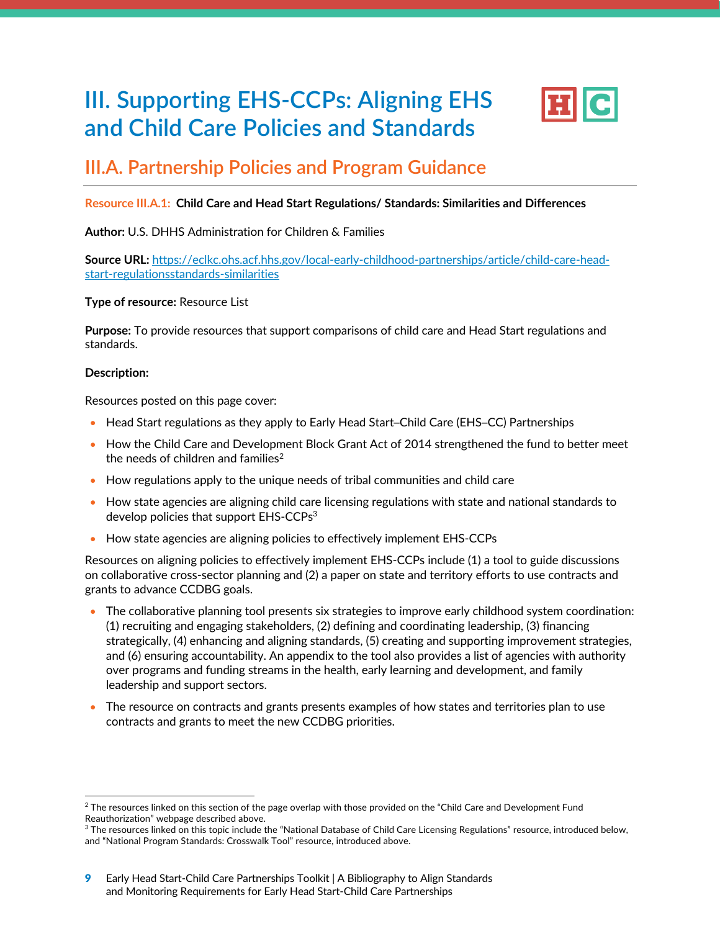# <span id="page-9-0"></span>**III. Supporting EHS-CCPs: Aligning EHS and Child Care Policies and Standards**



### **III.A. Partnership Policies and Program Guidance**

#### **Resource III.A.1: Child Care and Head Start Regulations/ Standards: Similarities and Differences**

#### **Author:** U.S. DHHS Administration for Children & Families

**Source URL:** https://eclkc.ohs.acf.hhs.gov/local-early-childhood-partnerships/article/child-care-headstart-regulationsstandards-similarities

#### **Type of resource:** Resource List

**Purpose:** To provide resources that support comparisons of child care and Head Start regulations and standards.

#### **Description:**

Resources posted on this page cover:

- Head Start regulations as they apply to Early Head Start–Child Care (EHS–CC) Partnerships
- How the Child Care and Development Block Grant Act of 2014 strengthened the fund to better meet the needs of children and families $2$
- How regulations apply to the unique needs of tribal communities and child care
- How state agencies are aligning child care licensing regulations with state and national standards to develop policies that support EHS-CCPs<sup>3</sup>
- How state agencies are aligning policies to effectively implement EHS-CCPs

Resources on aligning policies to effectively implement EHS-CCPs include (1) a tool to guide discussions on collaborative cross-sector planning and (2) a paper on state and territory efforts to use contracts and grants to advance CCDBG goals.

- The collaborative planning tool presents six strategies to improve early childhood system coordination: (1) recruiting and engaging stakeholders, (2) defining and coordinating leadership, (3) financing strategically, (4) enhancing and aligning standards, (5) creating and supporting improvement strategies, and (6) ensuring accountability. An appendix to the tool also provides a list of agencies with authority over programs and funding streams in the health, early learning and development, and family leadership and support sectors.
- The resource on contracts and grants presents examples of how states and territories plan to use contracts and grants to meet the new CCDBG priorities.

<sup>&</sup>lt;sup>2</sup> The resources linked on this section of the page overlap with those provided on the "Child Care and Development Fund Reauthorization" webpage described above.

<sup>&</sup>lt;sup>3</sup> The resources linked on this topic include the "National Database of Child Care Licensing Regulations" resource, introduced below, and "National Program Standards: Crosswalk Tool" resource, introduced above.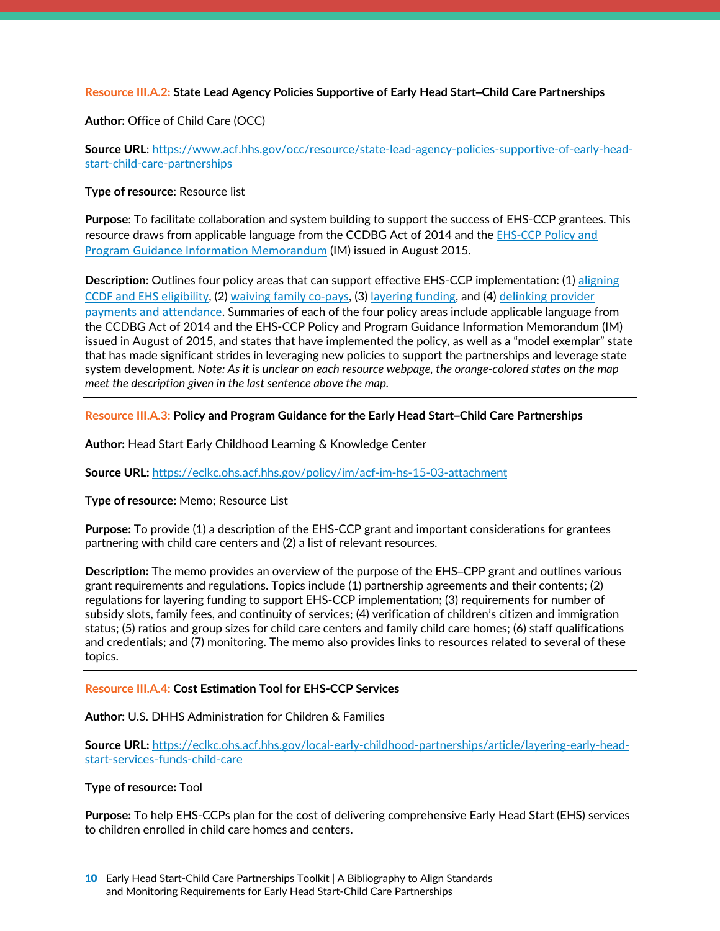#### **Resource III.A.2: State Lead Agency Policies Supportive of Early Head Start–Child Care Partnerships**

**Author:** Office of Child Care (OCC)

**Source URL**: https://www.acf.hhs.gov/occ/resource/state-lead-agency-policies-supportive-of-early-headstart-child-care-partnerships

#### **Type of resource**: Resource list

**Purpose**: To facilitate collaboration and system building to support the success of EHS-CCP grantees. This resource draws from applicable language from the CCDBG Act of 2014 and the [EHS-CCP Policy and](https://www.acf.hhs.gov/sites/default/files/occ/acf_im_ohs_15_03.pdf)  [Program Guidance Information Memorandum](https://www.acf.hhs.gov/sites/default/files/occ/acf_im_ohs_15_03.pdf) (IM) issued in August 2015.

**Description**: Outlines four policy areas that can support effective EHS-CCP implementation: (1) [aligning](https://www.acf.hhs.gov/occ/resource/aligning-ccdf-and-ehs-eligibility) [CCDF and EHS eligibility](https://www.acf.hhs.gov/occ/resource/aligning-ccdf-and-ehs-eligibility), (2) [waiving family co-pays](https://www.acf.hhs.gov/occ/resource/waiving-family-co-pays), (3) [layering funding](https://www.acf.hhs.gov/occ/resource/layering-funding), and (4) [delinking provider](https://www.acf.hhs.gov/occ/resource/delinking-provider-payments-and-attendance) payments [and attendance](https://www.acf.hhs.gov/occ/resource/delinking-provider-payments-and-attendance). Summaries of each of the four policy areas include applicable language from the CCDBG Act of 2014 and the EHS-CCP Policy and Program Guidance Information Memorandum (IM) issued in August of 2015, and states that have implemented the policy, as well as a "model exemplar" state that has made significant strides in leveraging new policies to support the partnerships and leverage state system development. *Note: As it is unclear on each resource webpage, the orange-colored states on the map meet the description given in the last sentence above the map.*

#### **Resource III.A.3: Policy and Program Guidance for the Early Head Start–Child Care Partnerships**

**Author:** Head Start Early Childhood Learning & Knowledge Center

**Source URL:** https://eclkc.ohs.acf.hhs.gov/policy/im/acf-im-hs-15-03-attachment

#### **Type of resource:** Memo; Resource List

**Purpose:** To provide (1) a description of the EHS-CCP grant and important considerations for grantees partnering with child care centers and (2) a list of relevant resources.

**Description:** The memo provides an overview of the purpose of the EHS–CPP grant and outlines various grant requirements and regulations. Topics include (1) partnership agreements and their contents; (2) regulations for layering funding to support EHS-CCP implementation; (3) requirements for number of subsidy slots, family fees, and continuity of services; (4) verification of children's citizen and immigration status; (5) ratios and group sizes for child care centers and family child care homes; (6) staff qualifications and credentials; and (7) monitoring. The memo also provides links to resources related to several of these topics.

#### **Resource III.A.4: Cost Estimation Tool for EHS-CCP Services**

#### **Author:** U.S. DHHS Administration for Children & Families

**Source URL:** https://eclkc.ohs.acf.hhs.gov/local-early-childhood-partnerships/article/layering-early-headstart-services-funds-child-care

#### **Type of resource:** Tool

**Purpose:** To help EHS-CCPs plan for the cost of delivering comprehensive Early Head Start (EHS) services to children enrolled in child care homes and centers.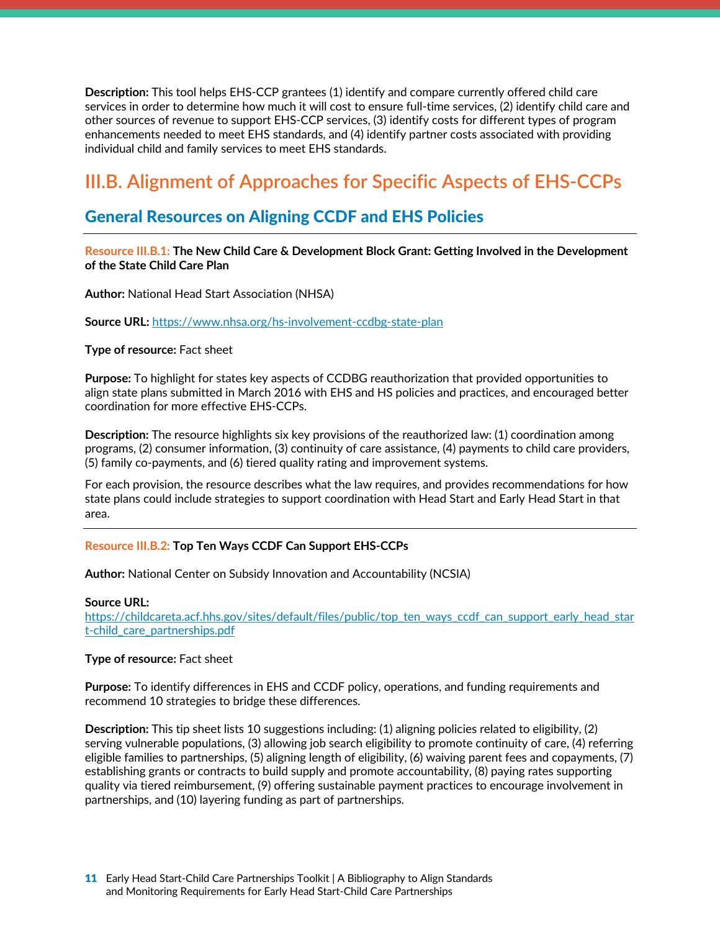<span id="page-11-0"></span>**Description:** This tool helps EHS-CCP grantees (1) identify and compare currently offered child care services in order to determine how much it will cost to ensure full-time services, (2) identify child care and other sources of revenue to support EHS-CCP services, (3) identify costs for different types of program enhancements needed to meet EHS standards, and (4) identify partner costs associated with providing individual child and family services to meet EHS standards.

## **III.B. Alignment of Approaches for Specific Aspects of EHS-CCPs**

### General Resources on Aligning CCDF and EHS Policies

**Resource III.B.1: The New Child Care & Development Block Grant: Getting Involved in the Development of the State Child Care Plan**

**Author:** National Head Start Association (NHSA)

**Source URL:** https://www.nhsa.org/hs-involvement-ccdbg-state-plan

#### **Type of resource:** Fact sheet

**Purpose:** To highlight for states key aspects of CCDBG reauthorization that provided opportunities to align state plans submitted in March 2016 with EHS and HS policies and practices, and encouraged better coordination for more effective EHS-CCPs.

**Description:** The resource highlights six key provisions of the reauthorized law: (1) coordination among programs, (2) consumer information, (3) continuity of care assistance, (4) payments to child care providers, (5) family co-payments, and (6) tiered quality rating and improvement systems.

For each provision, the resource describes what the law requires, and provides recommendations for how state plans could include strategies to support coordination with Head Start and Early Head Start in that area.

#### **Resource III.B.2: Top Ten Ways CCDF Can Support EHS-CCPs**

**Author:** National Center on Subsidy Innovation and Accountability (NCSIA)

#### **Source URL:**

https://childcareta.acf.hhs.gov/sites/default/files/public/top\_ten\_ways\_ccdf\_can\_support\_early\_head\_star t-child\_care\_partnerships.pdf

#### **Type of resource:** Fact sheet

**Purpose:** To identify differences in EHS and CCDF policy, operations, and funding requirements and recommend 10 strategies to bridge these differences.

**Description:** This tip sheet lists 10 suggestions including: (1) aligning policies related to eligibility, (2) serving vulnerable populations, (3) allowing job search eligibility to promote continuity of care, (4) referring eligible families to partnerships, (5) aligning length of eligibility, (6) waiving parent fees and copayments, (7) establishing grants or contracts to build supply and promote accountability, (8) paying rates supporting quality via tiered reimbursement, (9) offering sustainable payment practices to encourage involvement in partnerships, and (10) layering funding as part of partnerships.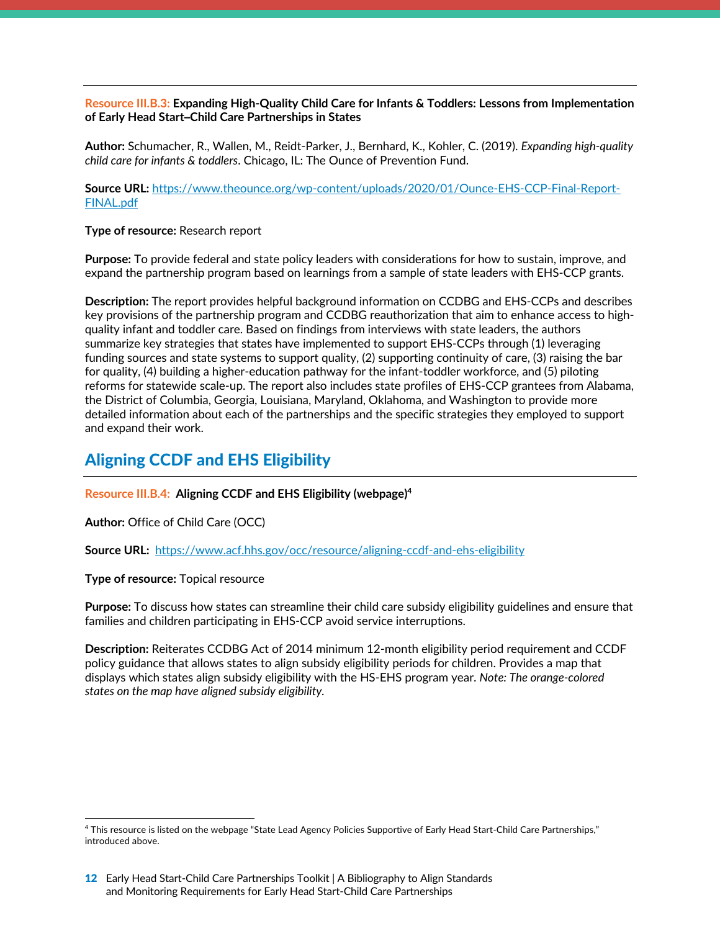#### <span id="page-12-0"></span>**Resource III.B.3: Expanding High-Quality Child Care for Infants & Toddlers: Lessons from Implementation of Early Head Start–Child Care Partnerships in States**

**Author:** Schumacher, R., Wallen, M., Reidt-Parker, J., Bernhard, K., Kohler, C. (2019). *Expanding high-quality child care for infants & toddlers*. Chicago, IL: The Ounce of Prevention Fund.

**Source URL:** https://www.theounce.org/wp-content/uploads/2020/01/Ounce-EHS-CCP-Final-Report-FINAL.pdf

#### **Type of resource:** Research report

**Purpose:** To provide federal and state policy leaders with considerations for how to sustain, improve, and expand the partnership program based on learnings from a sample of state leaders with EHS-CCP grants.

**Description:** The report provides helpful background information on CCDBG and EHS-CCPs and describes key provisions of the partnership program and CCDBG reauthorization that aim to enhance access to highquality infant and toddler care. Based on findings from interviews with state leaders, the authors summarize key strategies that states have implemented to support EHS-CCPs through (1) leveraging funding sources and state systems to support quality, (2) supporting continuity of care, (3) raising the bar for quality, (4) building a higher-education pathway for the infant-toddler workforce, and (5) piloting reforms for statewide scale-up. The report also includes state profiles of EHS-CCP grantees from Alabama, the District of Columbia, Georgia, Louisiana, Maryland, Oklahoma, and Washington to provide more detailed information about each of the partnerships and the specific strategies they employed to support and expand their work.

### Aligning CCDF and EHS Eligibility

**Resource III.B.4: Aligning CCDF and EHS Eligibility (webpage)4**

**Author:** Office of Child Care (OCC)

**Source URL:** https://www.acf.hhs.gov/occ/resource/aligning-ccdf-and-ehs-eligibility

#### **Type of resource:** Topical resource

**Purpose:** To discuss how states can streamline their child care subsidy eligibility guidelines and ensure that families and children participating in EHS-CCP avoid service interruptions.

**Description:** Reiterates CCDBG Act of 2014 minimum 12-month eligibility period requirement and CCDF policy guidance that allows states to align subsidy eligibility periods for children. Provides a map that displays which states align subsidy eligibility with the HS-EHS program year. *Note: The orange-colored states on the map have aligned subsidy eligibility.*

<sup>4</sup> This resource is listed on the webpage "State Lead Agency Policies Supportive of Early Head Start-Child Care Partnerships," introduced above.

<sup>12</sup> Early Head Start-Child Care Partnerships Toolkit | A Bibliography to Align Standards and Monitoring Requirements for Early Head Start-Child Care Partnerships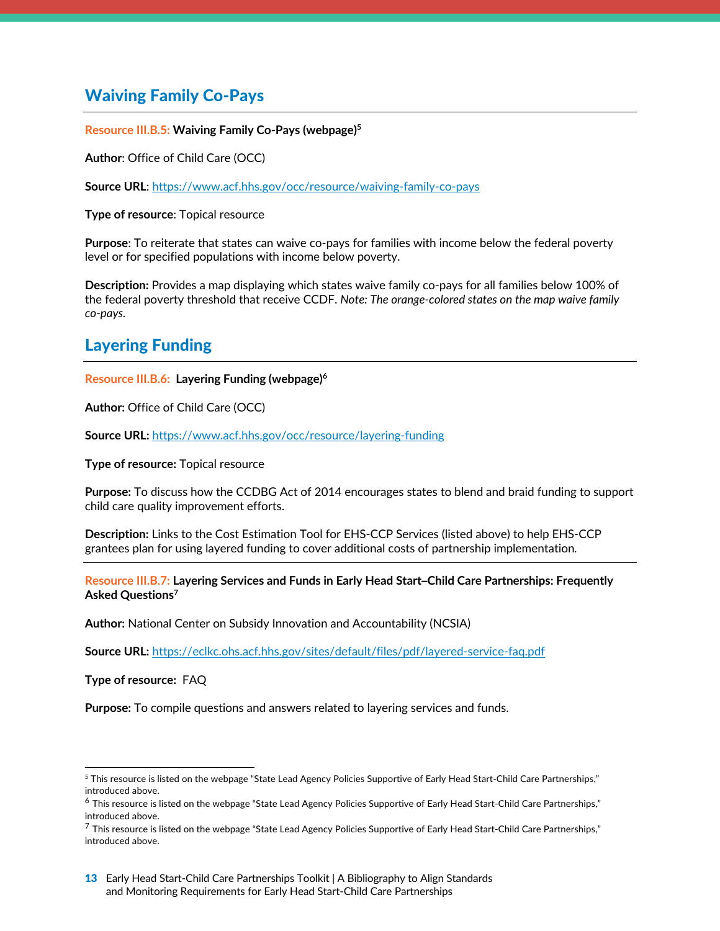### <span id="page-13-0"></span>Waiving Family Co-Pays

#### **Resource III.B.5: Waiving Family Co-Pays (webpage)5**

**Author**: Office of Child Care (OCC)

**Source URL**: https://www.acf.hhs.gov/occ/resource/waiving-family-co-pays

**Type of resource**: Topical resource

**Purpose**: To reiterate that states can waive co-pays for families with income below the federal poverty level or for specified populations with income below poverty.

**Description:** Provides a map displaying which states waive family co-pays for all families below 100% of the federal poverty threshold that receive CCDF. *Note: The orange-colored states on the map waive family co-pays.*

### Layering Funding

#### **Resource III.B.6: Layering Funding (webpage)6**

**Author:** Office of Child Care (OCC)

**Source URL:** https://www.acf.hhs.gov/occ/resource/layering-funding

**Type of resource:** Topical resource

**Purpose:** To discuss how the CCDBG Act of 2014 encourages states to blend and braid funding to support child care quality improvement efforts.

**Description:** Links to the Cost Estimation Tool for EHS-CCP Services (listed above) to help EHS-CCP grantees plan for using layered funding to cover additional costs of partnership implementation*.*

**Resource III.B.7: Layering Services and Funds in Early Head Start–Child Care Partnerships: Frequently Asked Questions7**

**Author:** National Center on Subsidy Innovation and Accountability (NCSIA)

**Source URL:** https://eclkc.ohs.acf.hhs.gov/sites/default/files/pdf/layered-service-faq.pdf

**Type of resource:** FAQ

**Purpose:** To compile questions and answers related to layering services and funds.

<sup>5</sup> This resource is listed on the webpage "State Lead Agency Policies Supportive of Early Head Start-Child Care Partnerships," introduced above.

<sup>&</sup>lt;sup>6</sup> This resource is listed on the webpage "State Lead Agency Policies Supportive of Early Head Start-Child Care Partnerships," introduced above.

 $7$  This resource is listed on the webpage "State Lead Agency Policies Supportive of Early Head Start-Child Care Partnerships," introduced above.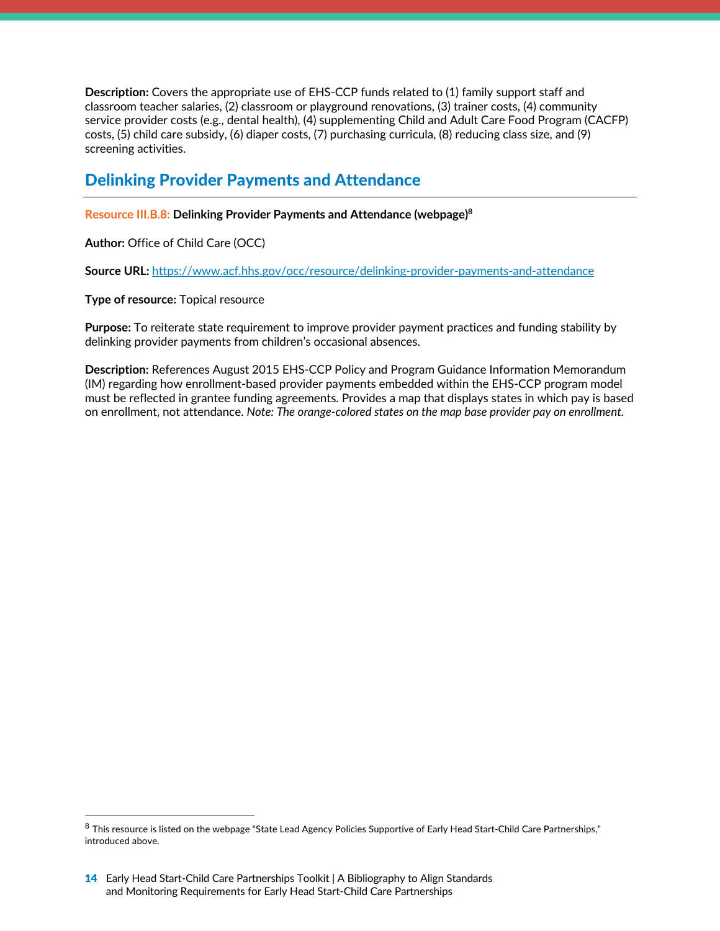<span id="page-14-0"></span>**Description:** Covers the appropriate use of EHS-CCP funds related to (1) family support staff and classroom teacher salaries, (2) classroom or playground renovations, (3) trainer costs, (4) community service provider costs (e.g., dental health), (4) supplementing Child and Adult Care Food Program (CACFP) costs, (5) child care subsidy, (6) diaper costs, (7) purchasing curricula, (8) reducing class size, and (9) screening activities.

### Delinking Provider Payments and Attendance

**Resource III.B.8: Delinking Provider Payments and Attendance (webpage)8**

**Author:** Office of Child Care (OCC)

Source URL: https://www.acf.hhs.gov/occ/resource/delinking-provider-payments-and-attendance

**Type of resource:** Topical resource

**Purpose:** To reiterate state requirement to improve provider payment practices and funding stability by delinking provider payments from children's occasional absences.

**Description:** References August 2015 EHS-CCP Policy and Program Guidance Information Memorandum (IM) regarding how enrollment-based provider payments embedded within the EHS-CCP program model must be reflected in grantee funding agreements. Provides a map that displays states in which pay is based on enrollment, not attendance. *Note: The orange-colored states on the map base provider pay on enrollment.*

 $8$  This resource is listed on the webpage "State Lead Agency Policies Supportive of Early Head Start-Child Care Partnerships," introduced above.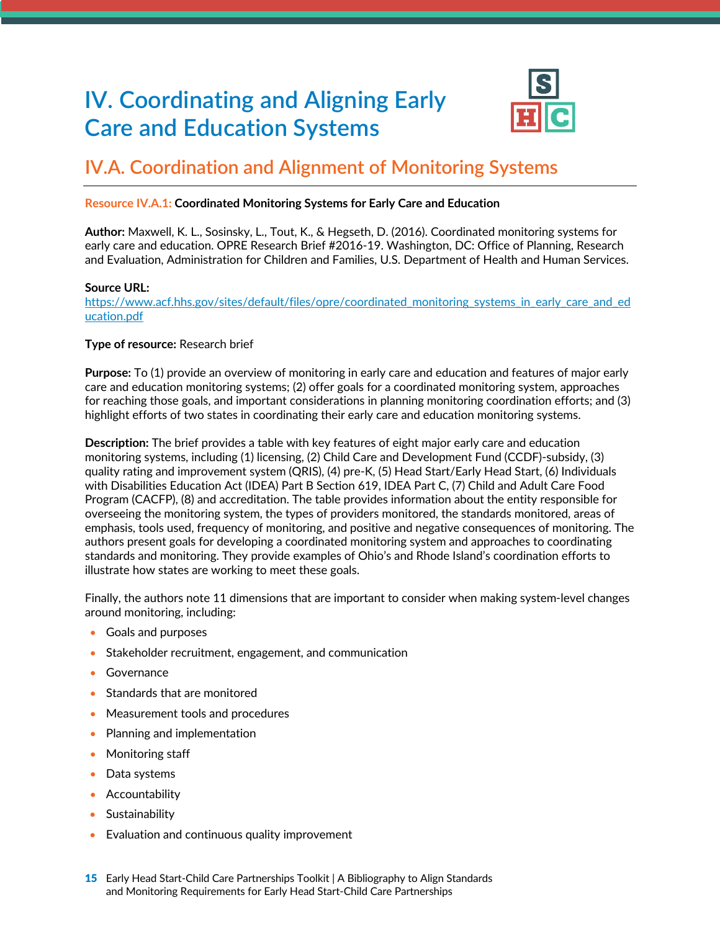# <span id="page-15-0"></span>**IV. Coordinating and Aligning Early Care and Education Systems**



## **IV.A. Coordination and Alignment of Monitoring Systems**

#### **Resource IV.A.1: Coordinated Monitoring Systems for Early Care and Education**

**Author:** Maxwell, K. L., Sosinsky, L., Tout, K., & Hegseth, D. (2016). Coordinated monitoring systems for early care and education. OPRE Research Brief #2016-19. Washington, DC: Office of Planning, Research and Evaluation, Administration for Children and Families, U.S. Department of Health and Human Services.

#### **Source URL:**

https://www.acf.hhs.gov/sites/default/files/opre/coordinated\_monitoring\_systems\_in\_early\_care\_and\_ed ucation.pdf

#### **Type of resource:** Research brief

**Purpose:** To (1) provide an overview of monitoring in early care and education and features of major early care and education monitoring systems; (2) offer goals for a coordinated monitoring system, approaches for reaching those goals, and important considerations in planning monitoring coordination efforts; and (3) highlight efforts of two states in coordinating their early care and education monitoring systems.

**Description:** The brief provides a table with key features of eight major early care and education monitoring systems, including (1) licensing, (2) Child Care and Development Fund (CCDF)-subsidy, (3) quality rating and improvement system (QRIS), (4) pre-K, (5) Head Start/Early Head Start, (6) Individuals with Disabilities Education Act (IDEA) Part B Section 619, IDEA Part C, (7) Child and Adult Care Food Program (CACFP), (8) and accreditation. The table provides information about the entity responsible for overseeing the monitoring system, the types of providers monitored, the standards monitored, areas of emphasis, tools used, frequency of monitoring, and positive and negative consequences of monitoring. The authors present goals for developing a coordinated monitoring system and approaches to coordinating standards and monitoring. They provide examples of Ohio's and Rhode Island's coordination efforts to illustrate how states are working to meet these goals.

Finally, the authors note 11 dimensions that are important to consider when making system-level changes around monitoring, including:

- Goals and purposes
- Stakeholder recruitment, engagement, and communication
- **Governance**
- Standards that are monitored
- Measurement tools and procedures
- Planning and implementation
- Monitoring staff
- Data systems
- Accountability
- Sustainability
- Evaluation and continuous quality improvement
- 15 Early Head Start-Child Care Partnerships Toolkit | A Bibliography to Align Standards and Monitoring Requirements for Early Head Start-Child Care Partnerships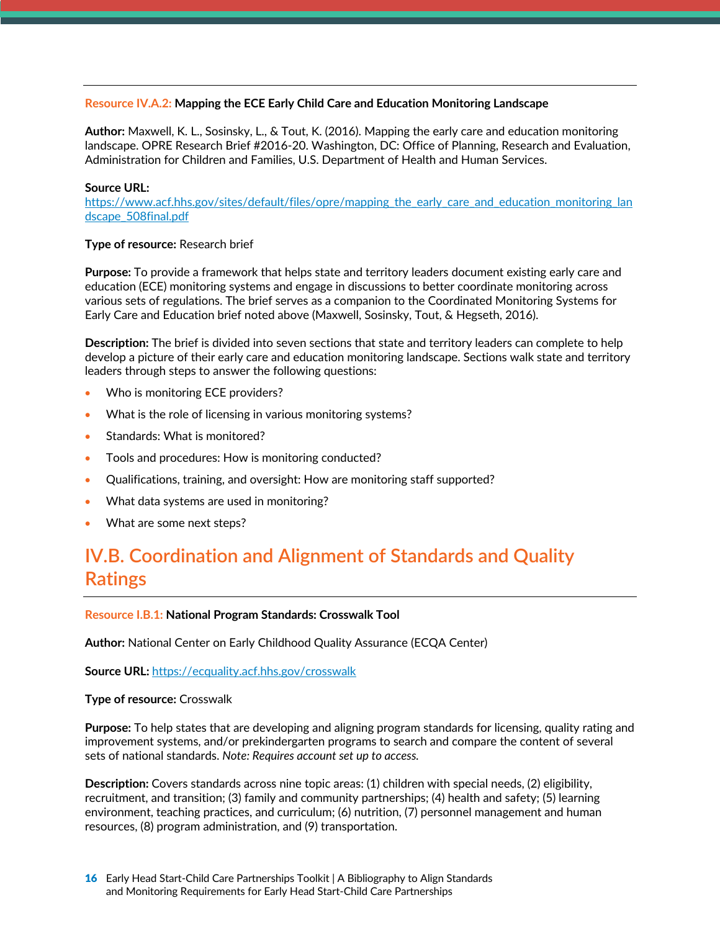#### <span id="page-16-0"></span>**Resource IV.A.2: Mapping the ECE Early Child Care and Education Monitoring Landscape**

**Author:** Maxwell, K. L., Sosinsky, L., & Tout, K. (2016). Mapping the early care and education monitoring landscape. OPRE Research Brief #2016-20. Washington, DC: Office of Planning, Research and Evaluation, Administration for Children and Families, U.S. Department of Health and Human Services.

#### **Source URL:**

https://www.acf.hhs.gov/sites/default/files/opre/mapping\_the\_early\_care\_and\_education\_monitoring\_lan dscape\_508final.pdf

#### **Type of resource:** Research brief

**Purpose:** To provide a framework that helps state and territory leaders document existing early care and education (ECE) monitoring systems and engage in discussions to better coordinate monitoring across various sets of regulations. The brief serves as a companion to the Coordinated Monitoring Systems for Early Care and Education brief noted above (Maxwell, Sosinsky, Tout, & Hegseth, 2016).

**Description:** The brief is divided into seven sections that state and territory leaders can complete to help develop a picture of their early care and education monitoring landscape. Sections walk state and territory leaders through steps to answer the following questions:

- Who is monitoring ECE providers?
- What is the role of licensing in various monitoring systems?
- Standards: What is monitored?
- Tools and procedures: How is monitoring conducted?
- Qualifications, training, and oversight: How are monitoring staff supported?
- What data systems are used in monitoring?
- What are some next steps?

## **IV.B. Coordination and Alignment of Standards and Quality Ratings**

#### **Resource I.B.1: National Program Standards: Crosswalk Tool**

**Author:** National Center on Early Childhood Quality Assurance (ECQA Center)

**Source URL:** https://ecquality.acf.hhs.gov/crosswalk

#### **Type of resource:** Crosswalk

**Purpose:** To help states that are developing and aligning program standards for licensing, quality rating and improvement systems, and/or prekindergarten programs to search and compare the content of several sets of national standards. *Note: Requires account set up to access.*

**Description:** Covers standards across nine topic areas: (1) children with special needs, (2) eligibility, recruitment, and transition; (3) family and community partnerships; (4) health and safety; (5) learning environment, teaching practices, and curriculum; (6) nutrition, (7) personnel management and human resources, (8) program administration, and (9) transportation.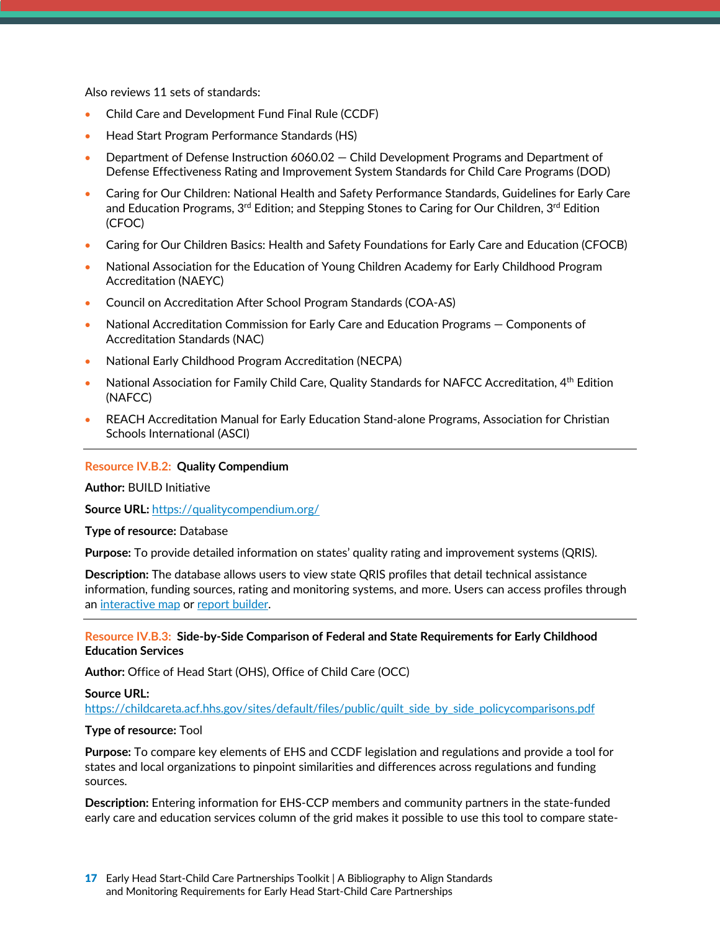Also reviews 11 sets of standards:

- Child Care and Development Fund Final Rule (CCDF)
- Head Start Program Performance Standards (HS)
- Department of Defense Instruction 6060.02 Child Development Programs and Department of Defense Effectiveness Rating and Improvement System Standards for Child Care Programs (DOD)
- Caring for Our Children: National Health and Safety Performance Standards, Guidelines for Early Care and Education Programs,  $3^{rd}$  Edition; and Stepping Stones to Caring for Our Children,  $3^{rd}$  Edition (CFOC)
- Caring for Our Children Basics: Health and Safety Foundations for Early Care and Education (CFOCB)
- National Association for the Education of Young Children Academy for Early Childhood Program Accreditation (NAEYC)
- Council on Accreditation After School Program Standards (COA-AS)
- National Accreditation Commission for Early Care and Education Programs Components of Accreditation Standards (NAC)
- National Early Childhood Program Accreditation (NECPA)
- National Association for Family Child Care, Quality Standards for NAFCC Accreditation, 4th Edition (NAFCC)
- REACH Accreditation Manual for Early Education Stand-alone Programs, Association for Christian Schools International (ASCI)

#### **Resource IV.B.2: Quality Compendium**

**Author:** BUILD Initiative

**Source URL:** https://qualitycompendium.org/

#### **Type of resource:** Database

**Purpose:** To provide detailed information on states' quality rating and improvement systems (QRIS).

**Description:** The database allows users to view state QRIS profiles that detail technical assistance information, funding sources, rating and monitoring systems, and more. Users can access profiles through an [interactive map](https://qualitycompendium.org/view-state-profiles) or [report builder](https://qualitycompendium.org/create-a-report).

#### **Resource IV.B.3: Side-by-Side Comparison of Federal and State Requirements for Early Childhood Education Services**

**Author:** Office of Head Start (OHS), Office of Child Care (OCC)

#### **Source URL:**

https://childcareta.acf.hhs.gov/sites/default/files/public/quilt\_side\_by\_side\_policycomparisons.pdf

#### **Type of resource:** Tool

**Purpose:** To compare key elements of EHS and CCDF legislation and regulations and provide a tool for states and local organizations to pinpoint similarities and differences across regulations and funding sources.

**Description:** Entering information for EHS-CCP members and community partners in the state-funded early care and education services column of the grid makes it possible to use this tool to compare state